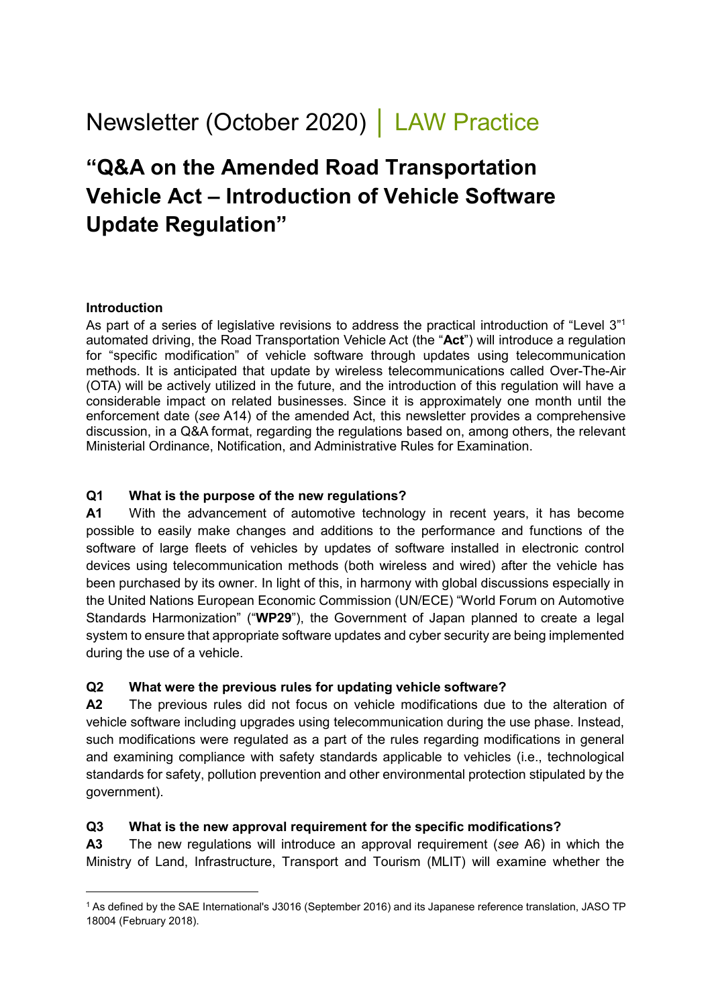# Newsletter (October 2020) │ LAW Practice

## **"Q&A on the Amended Road Transportation Vehicle Act – Introduction of Vehicle Software Update Regulation"**

#### **Introduction**

-

As part of a series of legislative revisions to address the practical introduction of "Level 3"1 automated driving, the Road Transportation Vehicle Act (the "**Act**") will introduce a regulation for "specific modification" of vehicle software through updates using telecommunication methods. It is anticipated that update by wireless telecommunications called Over-The-Air (OTA) will be actively utilized in the future, and the introduction of this regulation will have a considerable impact on related businesses. Since it is approximately one month until the enforcement date (*see* A14) of the amended Act, this newsletter provides a comprehensive discussion, in a Q&A format, regarding the regulations based on, among others, the relevant Ministerial Ordinance, Notification, and Administrative Rules for Examination.

#### **Q1 What is the purpose of the new regulations?**

**A1** With the advancement of automotive technology in recent years, it has become possible to easily make changes and additions to the performance and functions of the software of large fleets of vehicles by updates of software installed in electronic control devices using telecommunication methods (both wireless and wired) after the vehicle has been purchased by its owner. In light of this, in harmony with global discussions especially in the United Nations European Economic Commission (UN/ECE) "World Forum on Automotive Standards Harmonization" ("**WP29**"), the Government of Japan planned to create a legal system to ensure that appropriate software updates and cyber security are being implemented during the use of a vehicle.

#### **Q2 What were the previous rules for updating vehicle software?**

**A2** The previous rules did not focus on vehicle modifications due to the alteration of vehicle software including upgrades using telecommunication during the use phase. Instead, such modifications were regulated as a part of the rules regarding modifications in general and examining compliance with safety standards applicable to vehicles (i.e., technological standards for safety, pollution prevention and other environmental protection stipulated by the government).

#### **Q3 What is the new approval requirement for the specific modifications?**

**A3** The new regulations will introduce an approval requirement (*see* A6) in which the Ministry of Land, Infrastructure, Transport and Tourism (MLIT) will examine whether the

<sup>1</sup> As defined by the SAE International's J3016 (September 2016) and its Japanese reference translation, JASO TP 18004 (February 2018).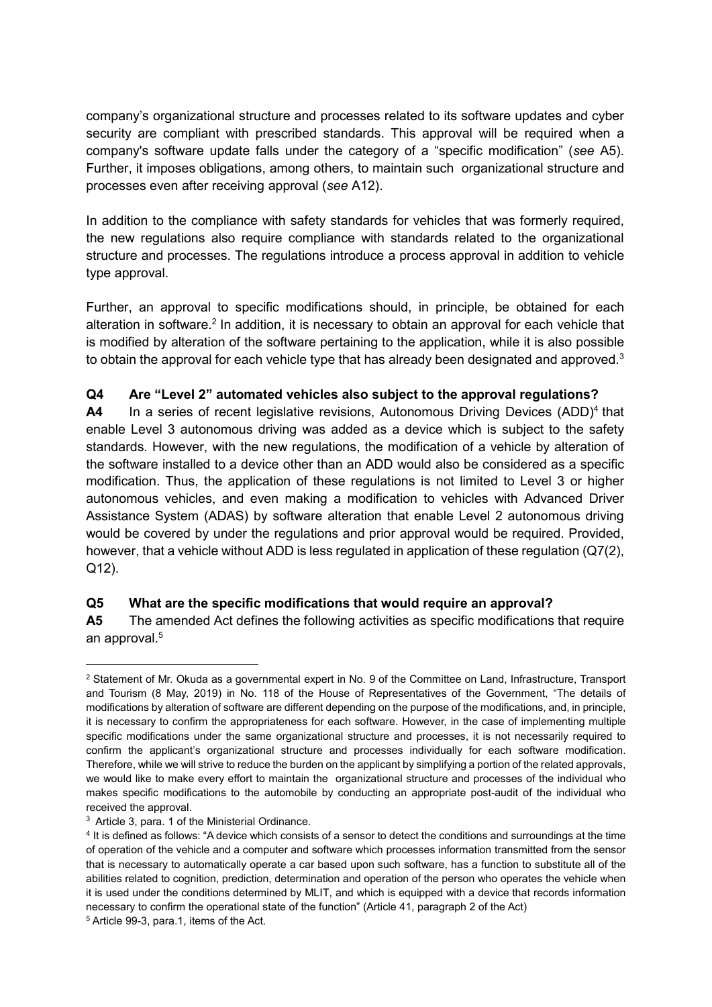company's organizational structure and processes related to its software updates and cyber security are compliant with prescribed standards. This approval will be required when a company's software update falls under the category of a "specific modification" (*see* A5). Further, it imposes obligations, among others, to maintain such organizational structure and processes even after receiving approval (*see* A12).

In addition to the compliance with safety standards for vehicles that was formerly required, the new regulations also require compliance with standards related to the organizational structure and processes. The regulations introduce a process approval in addition to vehicle type approval.

Further, an approval to specific modifications should, in principle, be obtained for each alteration in software.<sup>2</sup> In addition, it is necessary to obtain an approval for each vehicle that is modified by alteration of the software pertaining to the application, while it is also possible to obtain the approval for each vehicle type that has already been designated and approved. $^3$ 

#### **Q4 Are "Level 2" automated vehicles also subject to the approval regulations?**

A4 In a series of recent legislative revisions, Autonomous Driving Devices (ADD)<sup>4</sup> that enable Level 3 autonomous driving was added as a device which is subject to the safety standards. However, with the new regulations, the modification of a vehicle by alteration of the software installed to a device other than an ADD would also be considered as a specific modification. Thus, the application of these regulations is not limited to Level 3 or higher autonomous vehicles, and even making a modification to vehicles with Advanced Driver Assistance System (ADAS) by software alteration that enable Level 2 autonomous driving would be covered by under the regulations and prior approval would be required. Provided, however, that a vehicle without ADD is less regulated in application of these regulation (Q7(2), Q12).

## **Q5 What are the specific modifications that would require an approval?**

**A5** The amended Act defines the following activities as specific modifications that require an approval. 5

-

<sup>2</sup> Statement of Mr. Okuda as a governmental expert in No. 9 of the Committee on Land, Infrastructure, Transport and Tourism (8 May, 2019) in No. 118 of the House of Representatives of the Government, "The details of modifications by alteration of software are different depending on the purpose of the modifications, and, in principle, it is necessary to confirm the appropriateness for each software. However, in the case of implementing multiple specific modifications under the same organizational structure and processes, it is not necessarily required to confirm the applicant's organizational structure and processes individually for each software modification. Therefore, while we will strive to reduce the burden on the applicant by simplifying a portion of the related approvals, we would like to make every effort to maintain the organizational structure and processes of the individual who makes specific modifications to the automobile by conducting an appropriate post-audit of the individual who received the approval.

<sup>3</sup> Article 3, para. 1 of the Ministerial Ordinance.

<sup>4</sup> It is defined as follows: "A device which consists of a sensor to detect the conditions and surroundings at the time of operation of the vehicle and a computer and software which processes information transmitted from the sensor that is necessary to automatically operate a car based upon such software, has a function to substitute all of the abilities related to cognition, prediction, determination and operation of the person who operates the vehicle when it is used under the conditions determined by MLIT, and which is equipped with a device that records information necessary to confirm the operational state of the function" (Article 41, paragraph 2 of the Act)

<sup>5</sup> Article 99-3, para.1, items of the Act.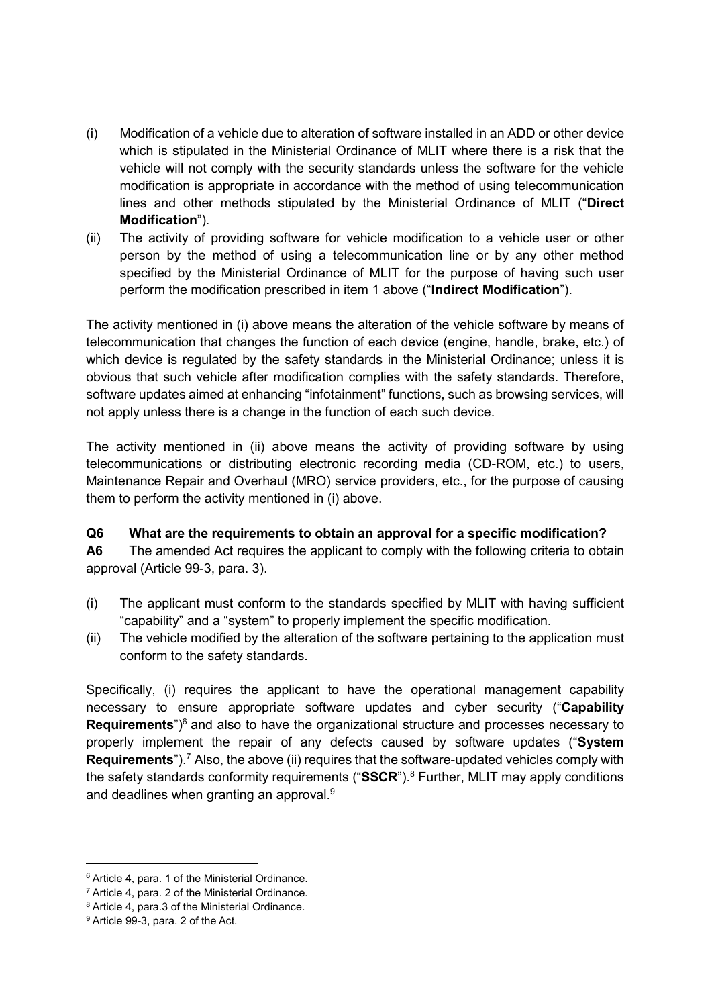- (i) Modification of a vehicle due to alteration of software installed in an ADD or other device which is stipulated in the Ministerial Ordinance of MLIT where there is a risk that the vehicle will not comply with the security standards unless the software for the vehicle modification is appropriate in accordance with the method of using telecommunication lines and other methods stipulated by the Ministerial Ordinance of MLIT ("**Direct Modification**").
- (ii) The activity of providing software [for vehicle modification to a vehicle user or other](javascript:void(0);)  [person by the method of using a telecommunication line or by any other method](javascript:void(0);)  [specified by the Ministerial Ordinance](javascript:void(0);) of MLIT for the purpose of having such user [perform the modification prescribed in item](javascript:void(0);) 1 above ("**Indirect Modification**").

The activity mentioned in (i) above means the alteration of the vehicle software by means of telecommunication that changes the function of each device (engine, handle, brake, etc.) of which device is regulated by the safety standards in the Ministerial Ordinance; unless it is obvious that such vehicle after modification complies with the safety standards. Therefore, software updates aimed at enhancing "infotainment" functions, such as browsing services, will not apply unless there is a change in the function of each such device.

The activity mentioned in (ii) above means the activity of providing software by using telecommunications or distributing electronic recording media (CD-ROM, etc.) to users, Maintenance Repair and Overhaul (MRO) service providers, etc., for the purpose of causing them to perform the activity mentioned in (i) above.

#### **Q6 What are the requirements to obtain an approval for a specific modification?**

**A6** The amended Act requires the applicant to comply with the following criteria to obtain approval (Article 99-3, para. 3).

- (i) The applicant must conform to the standards specified by MLIT with having sufficient "capability" and a "system" to properly implement the specific modification.
- (ii) The vehicle modified by the alteration of the software pertaining to the application must conform to the safety standards.

Specifically, (i) requires the applicant to have the operational management capability necessary to ensure appropriate software updates and cyber security ("**Capability**  Requirements<sup>")6</sup> and also to have the organizational structure and processes necessary to properly implement the repair of any defects caused by software updates ("**System Requirements**").<sup>7</sup> Also, the above (ii) requires that the software-updated vehicles comply with the safety standards conformity requirements ("**SSCR**"). <sup>8</sup> Further, MLIT may apply conditions and deadlines when granting an approval. 9

<sup>6</sup> Article 4, para. 1 of the Ministerial Ordinance.

<sup>7</sup> Article 4, para. 2 of the Ministerial Ordinance.

<sup>8</sup> Article 4, para.3 of the Ministerial Ordinance.

<sup>9</sup> Article 99-3, para. 2 of the Act.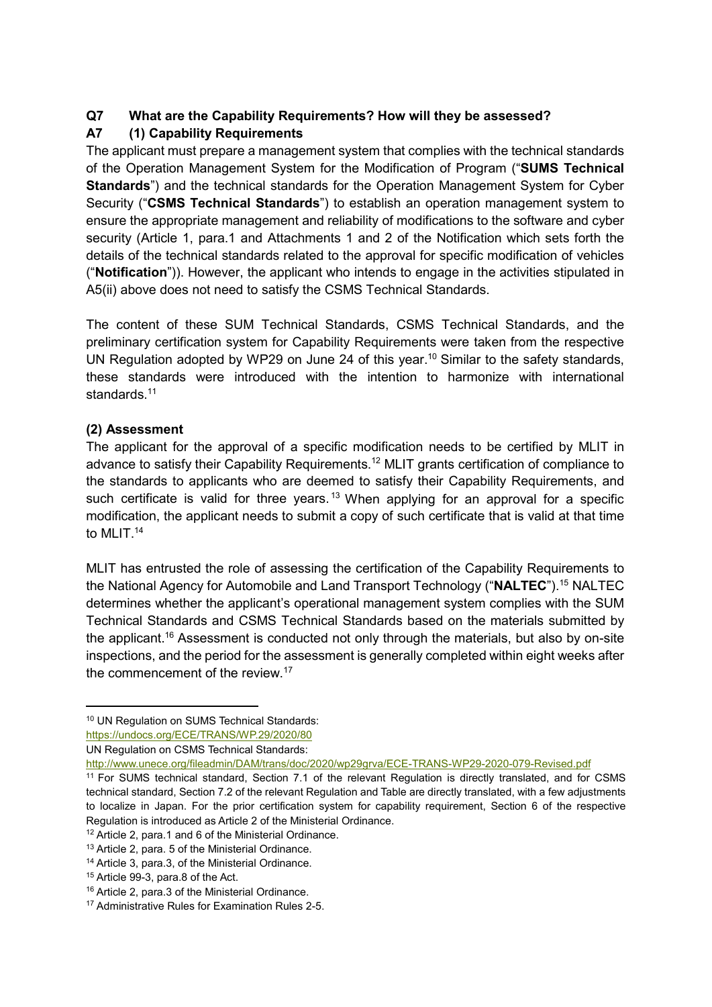## **Q7 What are the Capability Requirements? How will they be assessed?**

## **A7 (1) Capability Requirements**

The applicant must prepare a management system that complies with the technical standards of the Operation Management System for the Modification of Program ("**SUMS Technical Standards**") and the technical standards for the Operation Management System for Cyber Security ("**CSMS Technical Standards**") to establish an operation management system to ensure the appropriate management and reliability of modifications to the software and cyber security (Article 1, para.1 and Attachments 1 and 2 of the Notification which sets forth the details of the technical standards related to the approval for specific modification of vehicles ("**Notification**")). However, the applicant who intends to engage in the activities stipulated in A5(ii) above does not need to satisfy the CSMS Technical Standards.

The content of these SUM Technical Standards, CSMS Technical Standards, and the preliminary certification system for Capability Requirements were taken from the respective UN Regulation adopted by WP29 on June 24 of this year. <sup>10</sup> Similar to the safety standards, these standards were introduced with the intention to harmonize with international standards.<sup>11</sup>

## **(2) Assessment**

<u>.</u>

The applicant for the approval of a specific modification needs to be certified by MLIT in advance to satisfy their Capability Requirements. <sup>12</sup> MLIT grants certification of compliance to the standards to applicants who are deemed to satisfy their Capability Requirements, and such certificate is valid for three years.<sup>13</sup> When applying for an approval for a specific modification, the applicant needs to submit a copy of such certificate that is valid at that time to MLIT. 14

MLIT has entrusted the role of assessing the certification of the Capability Requirements to the National Agency for Automobile and Land Transport Technology ("**NALTEC**"). <sup>15</sup> NALTEC determines whether the applicant's operational management system complies with the SUM Technical Standards and CSMS Technical Standards based on the materials submitted by the applicant.<sup>16</sup> Assessment is conducted not only through the materials, but also by on-site inspections, and the period for the assessment is generally completed within eight weeks after the commencement of the review.<sup>17</sup>

<sup>10</sup> UN Regulation on SUMS Technical Standards:

<https://undocs.org/ECE/TRANS/WP.29/2020/80>

UN Regulation on CSMS Technical Standards:

<http://www.unece.org/fileadmin/DAM/trans/doc/2020/wp29grva/ECE-TRANS-WP29-2020-079-Revised.pdf>

<sup>11</sup> For SUMS technical standard, Section 7.1 of the relevant Regulation is directly translated, and for CSMS technical standard, Section 7.2 of the relevant Regulation and Table are directly translated, with a few adjustments to localize in Japan. For the prior certification system for capability requirement, Section 6 of the respective Regulation is introduced as Article 2 of the Ministerial Ordinance.

<sup>12</sup> Article 2, para.1 and 6 of the Ministerial Ordinance.

<sup>&</sup>lt;sup>13</sup> Article 2, para. 5 of the Ministerial Ordinance.

<sup>14</sup> Article 3, para.3, of the Ministerial Ordinance.

<sup>15</sup> Article 99-3, para.8 of the Act.

<sup>16</sup> Article 2, para.3 of the Ministerial Ordinance.

<sup>17</sup> Administrative Rules for Examination Rules 2-5.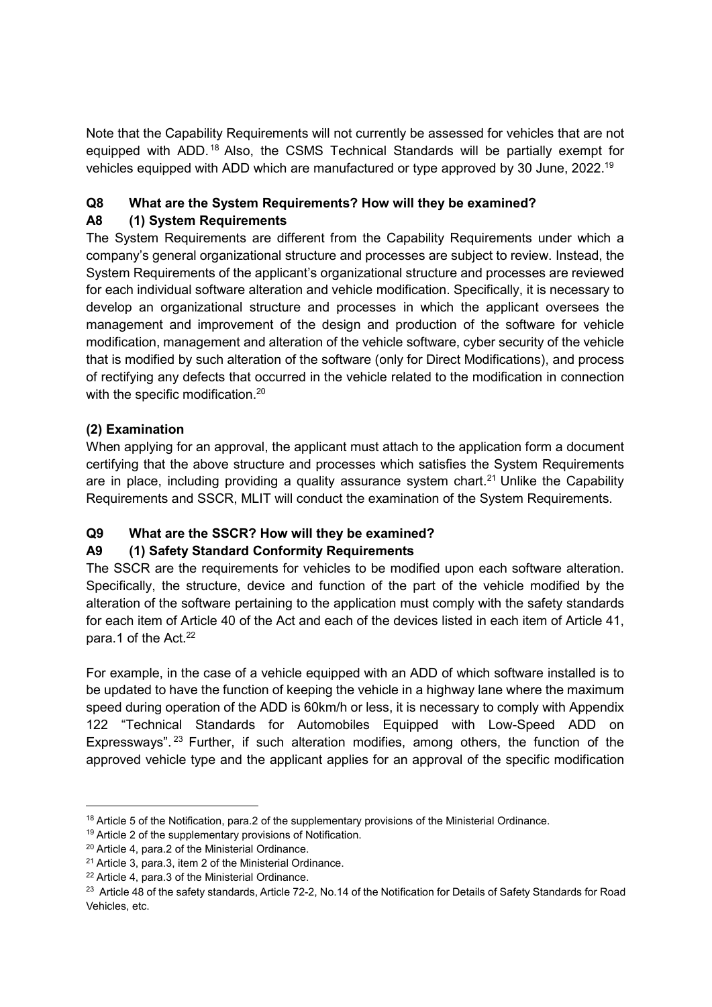Note that the Capability Requirements will not currently be assessed for vehicles that are not equipped with ADD. <sup>18</sup> Also, the CSMS Technical Standards will be partially exempt for vehicles equipped with ADD which are manufactured or type approved by 30 June, 2022. 19

## **Q8 What are the System Requirements? How will they be examined?**

## **A8 (1) System Requirements**

The System Requirements are different from the Capability Requirements under which a company's general organizational structure and processes are subject to review. Instead, the System Requirements of the applicant's organizational structure and processes are reviewed for each individual software alteration and vehicle modification. Specifically, it is necessary to develop an organizational structure and processes in which the applicant oversees the management and improvement of the design and production of the software for vehicle modification, management and alteration of the vehicle software, cyber security of the vehicle that is modified by such alteration of the software (only for Direct Modifications), and process of rectifying any defects that occurred in the vehicle related to the modification in connection with the specific modification.<sup>20</sup>

## **(2) Examination**

When applying for an approval, the applicant must attach to the application form a document certifying that the above structure and processes which satisfies the System Requirements are in place, including providing a quality assurance system chart.<sup>21</sup> Unlike the Capability Requirements and SSCR, MLIT will conduct the examination of the System Requirements.

## **Q9 What are the SSCR? How will they be examined?**

## **A9 (1) Safety Standard Conformity Requirements**

The SSCR are the requirements for vehicles to be modified upon each software alteration. Specifically, the structure, device and function of the part of the vehicle modified by the alteration of the software pertaining to the application must comply with the safety standards for each item of Article 40 of the Act and each of the devices listed in each item of Article 41, para.1 of the Act.<sup>22</sup>

For example, in the case of a vehicle equipped with an ADD of which software installed is to be updated to have the function of keeping the vehicle in a highway lane where the maximum speed during operation of the ADD is 60km/h or less, it is necessary to comply with Appendix 122 "Technical Standards for Automobiles Equipped with Low-Speed ADD on Expressways".<sup>23</sup> Further, if such alteration modifies, among others, the function of the approved vehicle type and the applicant applies for an approval of the specific modification

<sup>18</sup> Article 5 of the Notification, para.2 of the supplementary provisions of the Ministerial Ordinance.

<sup>&</sup>lt;sup>19</sup> Article 2 of the supplementary provisions of Notification.

<sup>20</sup> Article 4, para.2 of the Ministerial Ordinance.

<sup>21</sup> Article 3, para.3, item 2 of the Ministerial Ordinance.

<sup>22</sup> Article 4, para.3 of the Ministerial Ordinance.

<sup>&</sup>lt;sup>23</sup> Article 48 of the safety standards, Article 72-2, No.14 of the Notification for Details of Safety Standards for Road Vehicles, etc.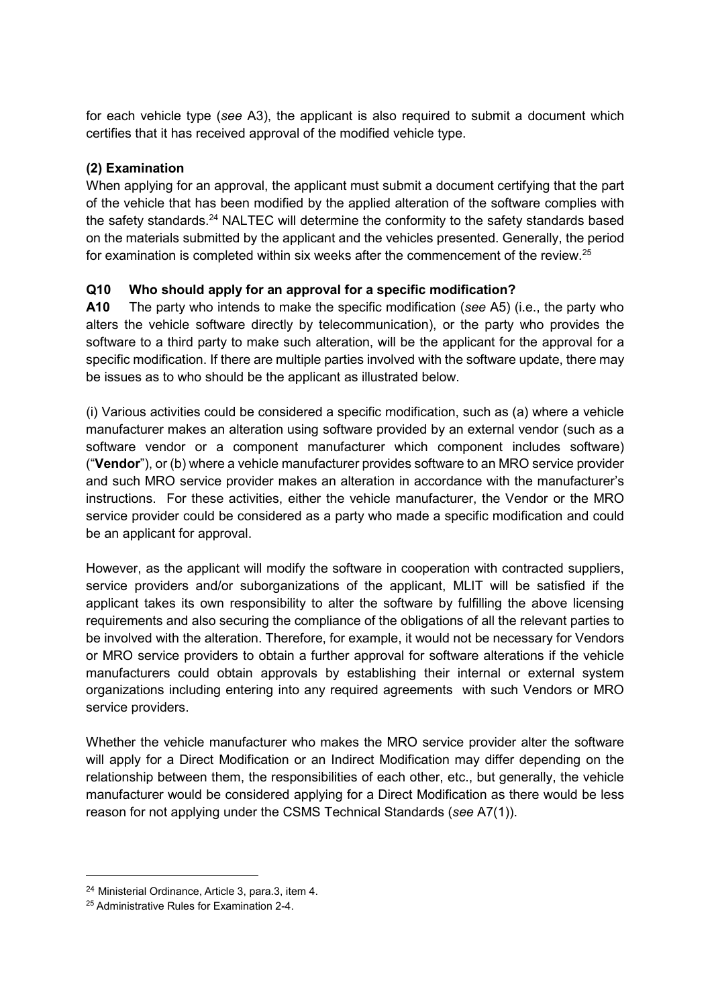for each vehicle type (*see* A3), the applicant is also required to submit a document which certifies that it has received approval of the modified vehicle type.

## **(2) Examination**

When applying for an approval, the applicant must submit a document certifying that the part of the vehicle that has been modified by the applied alteration of the software complies with the safety standards.<sup>24</sup> NALTEC will determine the conformity to the safety standards based on the materials submitted by the applicant and the vehicles presented. Generally, the period for examination is completed within six weeks after the commencement of the review.25

## **Q10 Who should apply for an approval for a specific modification?**

**A10** The party who intends to make the specific modification (*see* A5) (i.e., the party who alters the vehicle software directly by telecommunication), or the party who provides the software to a third party to make such alteration, will be the applicant for the approval for a specific modification. If there are multiple parties involved with the software update, there may be issues as to who should be the applicant as illustrated below.

(i) Various activities could be considered a specific modification, such as (a) where a vehicle manufacturer makes an alteration using software provided by an external vendor (such as a software vendor or a component manufacturer which component includes software) ("**Vendor**"), or (b) where a vehicle manufacturer provides software to an MRO service provider and such MRO service provider makes an alteration in accordance with the manufacturer's instructions. For these activities, either the vehicle manufacturer, the Vendor or the MRO service provider could be considered as a party who made a specific modification and could be an applicant for approval.

However, as the applicant will modify the software in cooperation with contracted suppliers, service providers and/or suborganizations of the applicant, MLIT will be satisfied if the applicant takes its own responsibility to alter the software by fulfilling the above licensing requirements and also securing the compliance of the obligations of all the relevant parties to be involved with the alteration. Therefore, for example, it would not be necessary for Vendors or MRO service providers to obtain a further approval for software alterations if the vehicle manufacturers could obtain approvals by establishing their internal or external system organizations including entering into any required agreements with such Vendors or MRO service providers.

Whether the vehicle manufacturer who makes the MRO service provider alter the software will apply for a Direct Modification or an Indirect Modification may differ depending on the relationship between them, the responsibilities of each other, etc., but generally, the vehicle manufacturer would be considered applying for a Direct Modification as there would be less reason for not applying under the CSMS Technical Standards (*see* A7(1)).

-

<sup>24</sup> Ministerial Ordinance, Article 3, para.3, item 4.

<sup>25</sup> Administrative Rules for Examination 2-4.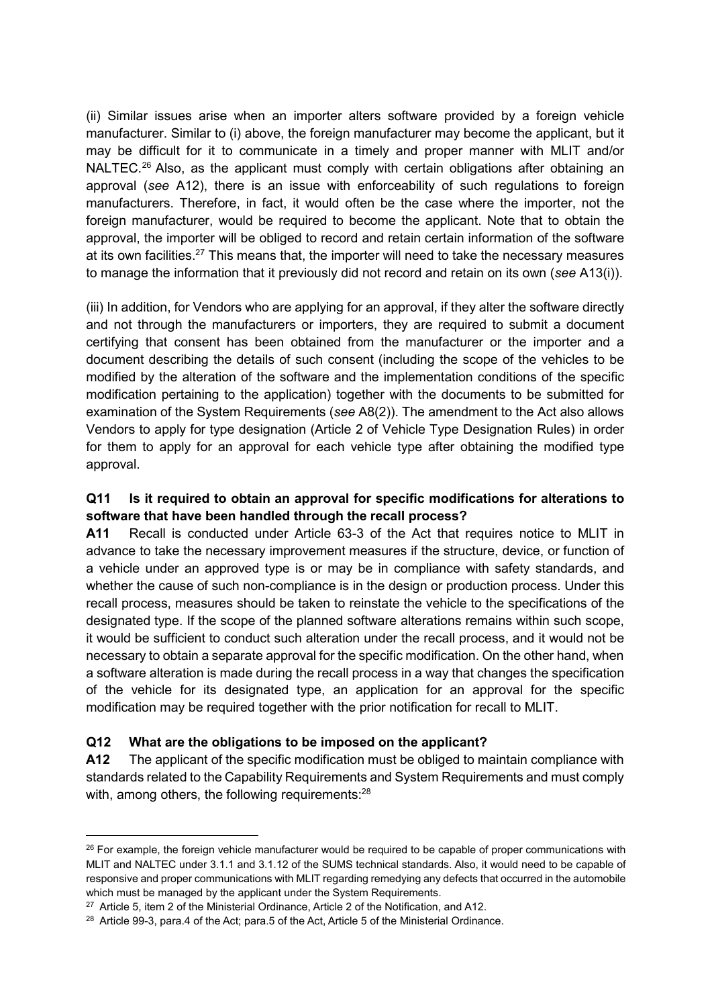(ii) Similar issues arise when an importer alters software provided by a foreign vehicle manufacturer. Similar to (i) above, the foreign manufacturer may become the applicant, but it may be difficult for it to communicate in a timely and proper manner with MLIT and/or NALTEC.<sup>26</sup> Also, as the applicant must comply with certain obligations after obtaining an approval (*see* A12), there is an issue with enforceability of such regulations to foreign manufacturers. Therefore, in fact, it would often be the case where the importer, not the foreign manufacturer, would be required to become the applicant. Note that to obtain the approval, the importer will be obliged to record and retain certain information of the software at its own facilities.<sup>27</sup> This means that, the importer will need to take the necessary measures to manage the information that it previously did not record and retain on its own (*see* A13(i)).

(iii) In addition, for Vendors who are applying for an approval, if they alter the software directly and not through the manufacturers or importers, they are required to submit a document certifying that consent has been obtained from the manufacturer or the importer and a document describing the details of such consent (including the scope of the vehicles to be modified by the alteration of the software and the implementation conditions of the specific modification pertaining to the application) together with the documents to be submitted for examination of the System Requirements (*see* A8(2)). The amendment to the Act also allows Vendors to apply for type designation (Article 2 of Vehicle Type Designation Rules) in order for them to apply for an approval for each vehicle type after obtaining the modified type approval.

## **Q11 Is it required to obtain an approval for specific modifications for alterations to software that have been handled through the recall process?**

**A11** Recall is conducted under Article 63-3 of the Act that requires notice to MLIT in advance to take the necessary improvement measures if the structure, device, or function of a vehicle under an approved type is or may be in compliance with safety standards, and whether the cause of such non-compliance is in the design or production process. Under this recall process, measures should be taken to reinstate the vehicle to the specifications of the designated type. If the scope of the planned software alterations remains within such scope, it would be sufficient to conduct such alteration under the recall process, and it would not be necessary to obtain a separate approval for the specific modification. On the other hand, when a software alteration is made during the recall process in a way that changes the specification of the vehicle for its designated type, an application for an approval for the specific modification may be required together with the prior notification for recall to MLIT.

#### **Q12 What are the obligations to be imposed on the applicant?**

**A12** The applicant of the specific modification must be obliged to maintain compliance with standards related to the Capability Requirements and System Requirements and must comply with, among others, the following requirements: $^{28}$ 

<sup>&</sup>lt;sup>26</sup> For example, the foreign vehicle manufacturer would be required to be capable of proper communications with MLIT and NALTEC under 3.1.1 and 3.1.12 of the SUMS technical standards. Also, it would need to be capable of responsive and proper communications with MLIT regarding remedying any defects that occurred in the automobile which must be managed by the applicant under the System Requirements.

<sup>27</sup> Article 5, item 2 of the Ministerial Ordinance, Article 2 of the Notification, and A12.

<sup>&</sup>lt;sup>28</sup> Article 99-3, para.4 of the Act; para.5 of the Act, Article 5 of the Ministerial Ordinance.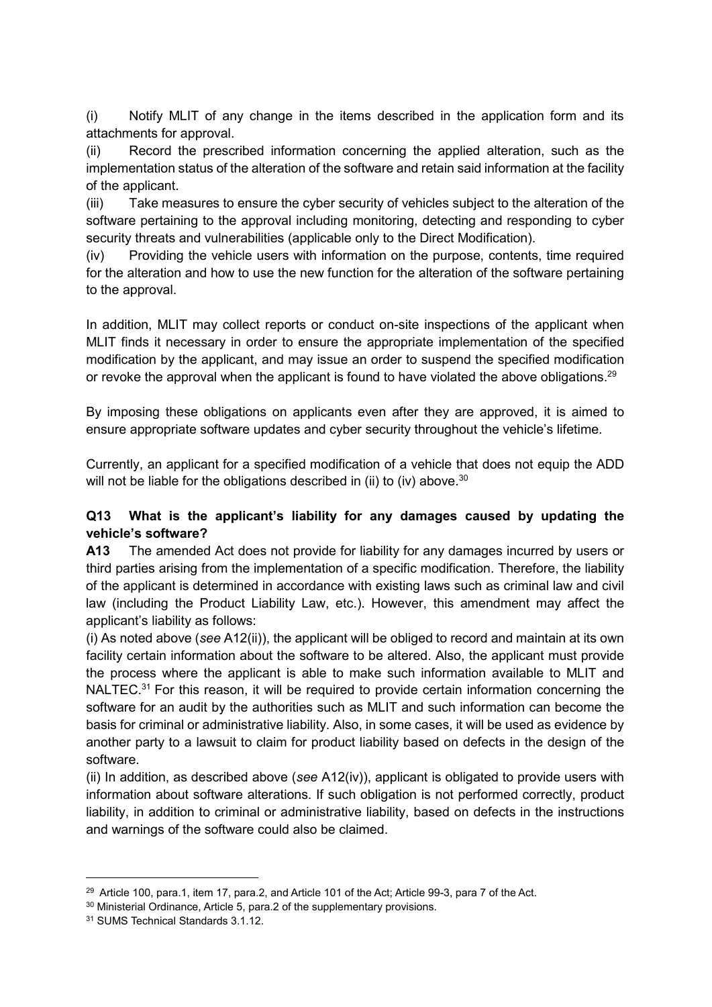(i) Notify MLIT of any change in the items described in the application form and its attachments for approval.

(ii) Record the prescribed information concerning the applied alteration, such as the implementation status of the alteration of the software and retain said information at the facility of the applicant.

(iii) Take measures to ensure the cyber security of vehicles subject to the alteration of the software pertaining to the approval including monitoring, detecting and responding to cyber security threats and vulnerabilities (applicable only to the Direct Modification).

(iv) Providing the vehicle users with information on the purpose, contents, time required for the alteration and how to use the new function for the alteration of the software pertaining to the approval.

In addition, MLIT may collect reports or conduct on-site inspections of the applicant when MLIT finds it necessary in order to ensure the appropriate implementation of the specified modification by the applicant, and may issue an order to suspend the specified modification or revoke the approval when the applicant is found to have violated the above obligations.<sup>29</sup>

By imposing these obligations on applicants even after they are approved, it is aimed to ensure appropriate software updates and cyber security throughout the vehicle's lifetime.

Currently, an applicant for a specified modification of a vehicle that does not equip the ADD will not be liable for the obligations described in (ii) to (iv) above.<sup>30</sup>

## **Q13 What is the applicant's liability for any damages caused by updating the vehicle's software?**

**A13** The amended Act does not provide for liability for any damages incurred by users or third parties arising from the implementation of a specific modification. Therefore, the liability of the applicant is determined in accordance with existing laws such as criminal law and civil law (including the Product Liability Law, etc.). However, this amendment may affect the applicant's liability as follows:

(i) As noted above (*see* A12(ii)), the applicant will be obliged to record and maintain at its own facility certain information about the software to be altered. Also, the applicant must provide the process where the applicant is able to make such information available to MLIT and NALTEC.<sup>31</sup> For this reason, it will be required to provide certain information concerning the software for an audit by the authorities such as MLIT and such information can become the basis for criminal or administrative liability. Also, in some cases, it will be used as evidence by another party to a lawsuit to claim for product liability based on defects in the design of the software.

(ii) In addition, as described above (*see* A12(iv)), applicant is obligated to provide users with information about software alterations. If such obligation is not performed correctly, product liability, in addition to criminal or administrative liability, based on defects in the instructions and warnings of the software could also be claimed.

<sup>&</sup>lt;sup>29</sup> Article 100, para.1, item 17, para.2, and Article 101 of the Act; Article 99-3, para 7 of the Act.

<sup>30</sup> Ministerial Ordinance, Article 5, para.2 of the supplementary provisions.

<sup>31</sup> SUMS Technical Standards 3.1.12.